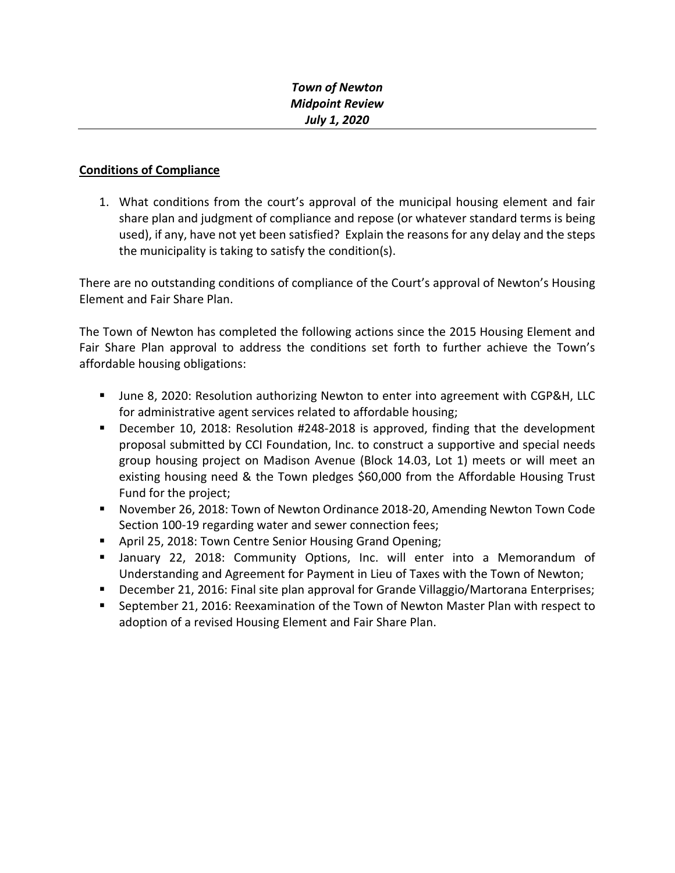## **Conditions of Compliance**

1. What conditions from the court's approval of the municipal housing element and fair share plan and judgment of compliance and repose (or whatever standard terms is being used), if any, have not yet been satisfied? Explain the reasons for any delay and the steps the municipality is taking to satisfy the condition(s).

There are no outstanding conditions of compliance of the Court's approval of Newton's Housing Element and Fair Share Plan.

The Town of Newton has completed the following actions since the 2015 Housing Element and Fair Share Plan approval to address the conditions set forth to further achieve the Town's affordable housing obligations:

- June 8, 2020: Resolution authorizing Newton to enter into agreement with CGP&H, LLC for administrative agent services related to affordable housing;
- December 10, 2018: Resolution #248-2018 is approved, finding that the development proposal submitted by CCI Foundation, Inc. to construct a supportive and special needs group housing project on Madison Avenue (Block 14.03, Lot 1) meets or will meet an existing housing need & the Town pledges \$60,000 from the Affordable Housing Trust Fund for the project;
- November 26, 2018: Town of Newton Ordinance 2018-20, Amending Newton Town Code Section 100-19 regarding water and sewer connection fees;
- **April 25, 2018: Town Centre Senior Housing Grand Opening;**
- January 22, 2018: Community Options, Inc. will enter into a Memorandum of Understanding and Agreement for Payment in Lieu of Taxes with the Town of Newton;
- **December 21, 2016: Final site plan approval for Grande Villaggio/Martorana Enterprises;**
- September 21, 2016: Reexamination of the Town of Newton Master Plan with respect to adoption of a revised Housing Element and Fair Share Plan.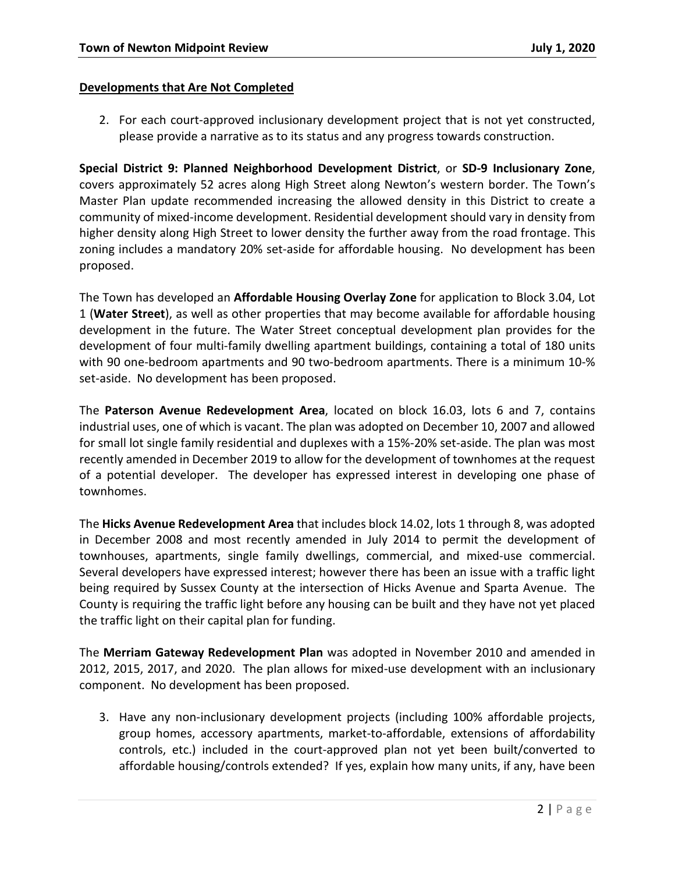#### **Developments that Are Not Completed**

2. For each court-approved inclusionary development project that is not yet constructed, please provide a narrative as to its status and any progress towards construction.

**Special District 9: Planned Neighborhood Development District**, or **SD-9 Inclusionary Zone**, covers approximately 52 acres along High Street along Newton's western border. The Town's Master Plan update recommended increasing the allowed density in this District to create a community of mixed-income development. Residential development should vary in density from higher density along High Street to lower density the further away from the road frontage. This zoning includes a mandatory 20% set-aside for affordable housing. No development has been proposed.

The Town has developed an **Affordable Housing Overlay Zone** for application to Block 3.04, Lot 1 (**Water Street**), as well as other properties that may become available for affordable housing development in the future. The Water Street conceptual development plan provides for the development of four multi-family dwelling apartment buildings, containing a total of 180 units with 90 one-bedroom apartments and 90 two-bedroom apartments. There is a minimum 10-% set-aside. No development has been proposed.

The **Paterson Avenue Redevelopment Area**, located on block 16.03, lots 6 and 7, contains industrial uses, one of which is vacant. The plan was adopted on December 10, 2007 and allowed for small lot single family residential and duplexes with a 15%-20% set-aside. The plan was most recently amended in December 2019 to allow for the development of townhomes at the request of a potential developer. The developer has expressed interest in developing one phase of townhomes.

The **Hicks Avenue Redevelopment Area** that includes block 14.02, lots 1 through 8, was adopted in December 2008 and most recently amended in July 2014 to permit the development of townhouses, apartments, single family dwellings, commercial, and mixed-use commercial. Several developers have expressed interest; however there has been an issue with a traffic light being required by Sussex County at the intersection of Hicks Avenue and Sparta Avenue. The County is requiring the traffic light before any housing can be built and they have not yet placed the traffic light on their capital plan for funding.

The **Merriam Gateway Redevelopment Plan** was adopted in November 2010 and amended in 2012, 2015, 2017, and 2020. The plan allows for mixed-use development with an inclusionary component. No development has been proposed.

3. Have any non-inclusionary development projects (including 100% affordable projects, group homes, accessory apartments, market-to-affordable, extensions of affordability controls, etc.) included in the court-approved plan not yet been built/converted to affordable housing/controls extended? If yes, explain how many units, if any, have been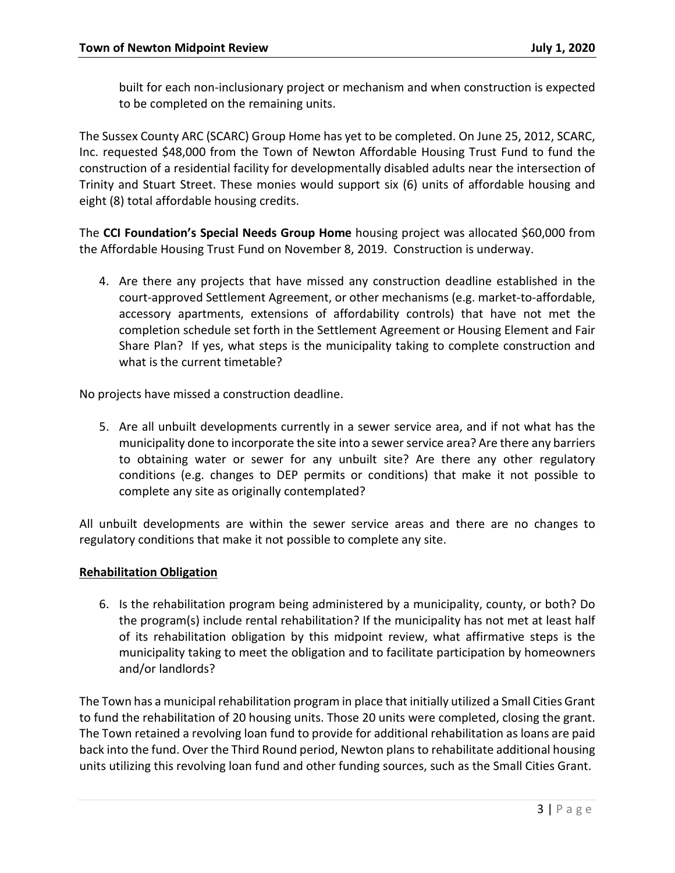built for each non-inclusionary project or mechanism and when construction is expected to be completed on the remaining units.

The Sussex County ARC (SCARC) Group Home has yet to be completed. On June 25, 2012, SCARC, Inc. requested \$48,000 from the Town of Newton Affordable Housing Trust Fund to fund the construction of a residential facility for developmentally disabled adults near the intersection of Trinity and Stuart Street. These monies would support six (6) units of affordable housing and eight (8) total affordable housing credits.

The **CCI Foundation's Special Needs Group Home** housing project was allocated \$60,000 from the Affordable Housing Trust Fund on November 8, 2019. Construction is underway.

4. Are there any projects that have missed any construction deadline established in the court-approved Settlement Agreement, or other mechanisms (e.g. market-to-affordable, accessory apartments, extensions of affordability controls) that have not met the completion schedule set forth in the Settlement Agreement or Housing Element and Fair Share Plan? If yes, what steps is the municipality taking to complete construction and what is the current timetable?

No projects have missed a construction deadline.

5. Are all unbuilt developments currently in a sewer service area, and if not what has the municipality done to incorporate the site into a sewer service area? Are there any barriers to obtaining water or sewer for any unbuilt site? Are there any other regulatory conditions (e.g. changes to DEP permits or conditions) that make it not possible to complete any site as originally contemplated?

All unbuilt developments are within the sewer service areas and there are no changes to regulatory conditions that make it not possible to complete any site.

### **Rehabilitation Obligation**

6. Is the rehabilitation program being administered by a municipality, county, or both? Do the program(s) include rental rehabilitation? If the municipality has not met at least half of its rehabilitation obligation by this midpoint review, what affirmative steps is the municipality taking to meet the obligation and to facilitate participation by homeowners and/or landlords?

The Town has a municipal rehabilitation program in place that initially utilized a Small Cities Grant to fund the rehabilitation of 20 housing units. Those 20 units were completed, closing the grant. The Town retained a revolving loan fund to provide for additional rehabilitation as loans are paid back into the fund. Over the Third Round period, Newton plans to rehabilitate additional housing units utilizing this revolving loan fund and other funding sources, such as the Small Cities Grant.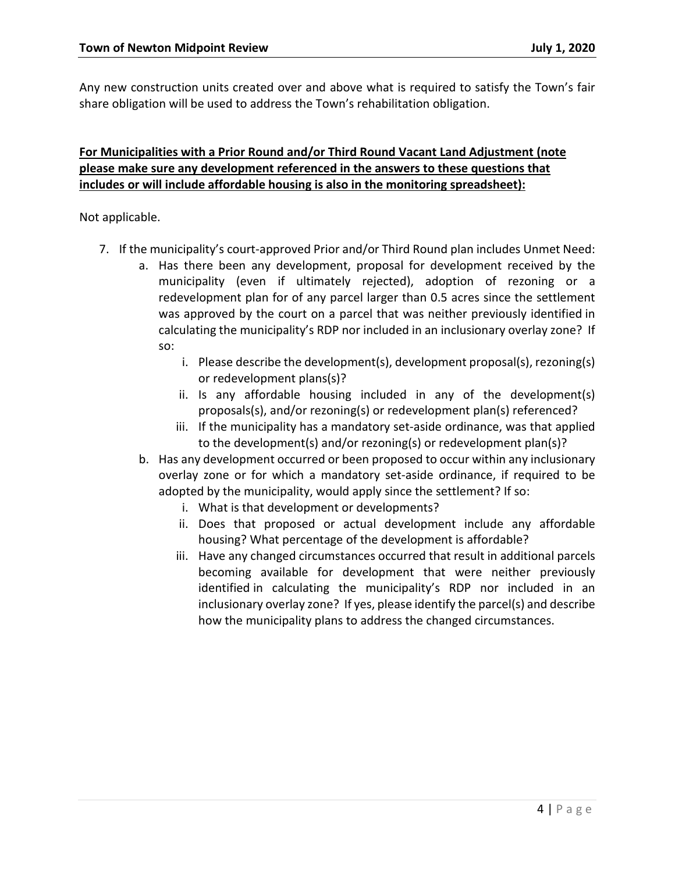Any new construction units created over and above what is required to satisfy the Town's fair share obligation will be used to address the Town's rehabilitation obligation.

# **For Municipalities with a Prior Round and/or Third Round Vacant Land Adjustment (note please make sure any development referenced in the answers to these questions that includes or will include affordable housing is also in the monitoring spreadsheet):**

Not applicable.

- 7. If the municipality's court-approved Prior and/or Third Round plan includes Unmet Need:
	- a. Has there been any development, proposal for development received by the municipality (even if ultimately rejected), adoption of rezoning or a redevelopment plan for of any parcel larger than 0.5 acres since the settlement was approved by the court on a parcel that was neither previously identified in calculating the municipality's RDP nor included in an inclusionary overlay zone? If so:
		- i. Please describe the development(s), development proposal(s), rezoning(s) or redevelopment plans(s)?
		- ii. Is any affordable housing included in any of the development(s) proposals(s), and/or rezoning(s) or redevelopment plan(s) referenced?
		- iii. If the municipality has a mandatory set-aside ordinance, was that applied to the development(s) and/or rezoning(s) or redevelopment plan(s)?
	- b. Has any development occurred or been proposed to occur within any inclusionary overlay zone or for which a mandatory set-aside ordinance, if required to be adopted by the municipality, would apply since the settlement? If so:
		- i. What is that development or developments?
		- ii. Does that proposed or actual development include any affordable housing? What percentage of the development is affordable?
		- iii. Have any changed circumstances occurred that result in additional parcels becoming available for development that were neither previously identified in calculating the municipality's RDP nor included in an inclusionary overlay zone? If yes, please identify the parcel(s) and describe how the municipality plans to address the changed circumstances.